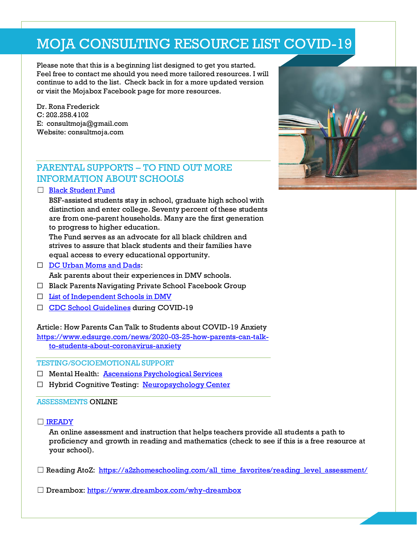# MOJA CONSULTING RESOURCE LIST COVID-19

Please note that this is a beginning list designed to get you started. Feel free to contact me should you need more tailored resources. I will continue to add to the list. Check back in for a more updated version or visit the Mojabox Facebook page for more resources.

Dr. Rona Frederick C: 202.258.4102 E: consultmoja@gmail.com Website: consultmoja.com

## PARENTAL SUPPORTS – TO FIND OUT MORE INFORMATION ABOUT SCHOOLS

□ [Black Student Fund](http://www.blackstudentfund.org/)

BSF-assisted students stay in school, graduate high school with distinction and enter college. Seventy percent of these students are from one-parent households. Many are the first generation to progress to higher education.

The Fund serves as an advocate for all black children and strives to assure that black students and their families have equal access to every educational opportunity.

□ [DC Urban Moms and Dads:](https://www.dcurbanmom.com/jforum/forums/show/31.page)

Ask parents about their experiences in DMV schools.

- ☐ Black Parents Navigating Private School Facebook Group
- ☐ [List of Independent Schools in DMV](https://cdn.ymaws.com/www.aimsmddc.org/resource/resmgr/aimsdocuments/update_to_aimsschooldirector.pdf)
- ☐ [CDC School Guidelines](https://www.cdc.gov/coronavirus/2019-ncov/community/schools-childcare/schools.html) during COVID-19

Article: How Parents Can Talk to Students about COVID-19 Anxiety

[https://www.edsurge.com/news/2020-03-25-how-parents-can-talk](https://www.edsurge.com/news/2020-03-25-how-parents-can-talk-to-students-about-coronavirus-anxiety)[to-students-about-coronavirus-anxiety](https://www.edsurge.com/news/2020-03-25-how-parents-can-talk-to-students-about-coronavirus-anxiety)

TESTING/SOCIOEMOTIONAL SUPPORT

- ☐ Mental Health: [Ascensions Psychological Services](https://www.2ascend.org/index.html)
- ☐ Hybrid Cognitive Testing: [Neuropsychology Center](http://www.pascualvaca.com/)

#### ASSESSMENTS ONLINE

☐ IREADY

An online assessment and instruction that helps teachers provide all students a path to proficiency and growth in reading and mathematics (check to see if this is a free resource at your school).

- $\Box$  Reading AtoZ: [https://a2zhomeschooling.com/all\\_time\\_favorites/reading\\_level\\_assessment/](https://a2zhomeschooling.com/all_time_favorites/reading_level_assessment/)
- ☐ Dreambox: <https://www.dreambox.com/why-dreambox>

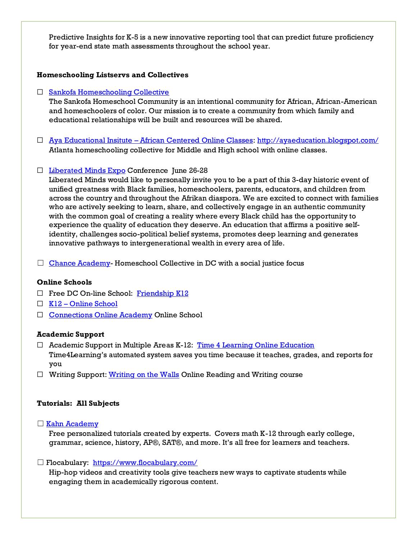Predictive Insights for K-5 is a new innovative reporting tool that can predict future proficiency for year-end state math assessments throughout the school year.

#### **Homeschooling Listservs and Collectives**

#### □ [Sankofa Homeschooling Collective](https://www.sankofahomeschool.org/)

The Sankofa Homeschool Community is an intentional community for African, African-American and homeschoolers of color. Our mission is to create a community from which family and educational relationships will be built and resources will be shared.

☐ Aya Educational Insitute – [African Centered Online Classes:](https://www.facebook.com/theayaway/about/?ref=page_internal)<http://ayaeducation.blogspot.com/> Atlanta homeschooling collective for Middle and High school with online classes.

#### □ [Liberated Minds Expo](https://liberatedmindsexpo.com/) Conference June 26-28

Liberated Minds would like to personally invite you to be a part of this 3-day historic event of unified greatness with Black families, homeschoolers, parents, educators, and children from across the country and throughout the Afrikan diaspora. We are excited to connect with families who are actively seeking to learn, share, and collectively engage in an authentic community with the common goal of creating a reality where every Black child has the opportunity to experience the quality of education they deserve. An education that affirms a positive selfidentity, challenges socio-political belief systems, promotes deep learning and generates innovative pathways to intergenerational wealth in every area of life.

 $\Box$  [Chance Academy-](http://chanceacademy.org/)Homeschool Collective in DC with a social justice focus

#### **Online Schools**

- ☐ Free DC On-line School: [Friendship K12](https://fpcso.k12.com/news/welcome-friendship-public-charter-school-online.html)
- ☐ K12 [Online School](https://www.k12.com/)
- □ [Connections Online Academy](https://learn.pearsononlineacademy.com/us/?ao=2&utm_source=google&utm_medium=cpc&utm_network=g&utm_campaign=Brand+CAP+US+PRI+ENG+SPART+EXACT&utm_term=connections%20academy&utm_matchtype=e&utm_device=c&utm_creative=437355982517&utm_adposition=&utm_content=%7badgroup%7d&leadsource=iNaCA_PPC&gclid=CjwKCAjwiMj2BRBFEiwAYfTbCqMHnjYsp8_PoBsnu-_JoNB1Hrb88jOiADCjlltZjDo_Lmh52-hAKBoCnlgQAvD_BwE&gclsrc=aw.ds) Online School

#### **Academic Support**

- $\Box$  Academic Support in Multiple Areas K-12: Time 4 [Learning Online Education](https://www.time4learning.com/?msclkid=761588473a4312aadf98d69543e1de4a&utm_source=bing&utm_medium=cpc&utm_campaign=T4L_Brand&utm_term=time%20for%20learning&utm_content=time%20for%20learning) Time4Learning's automated system saves you time because it teaches, grades, and reports for you
- $\Box$  Writing Support[: Writing on the Walls](https://www.writingonthewallsworkshop.com/) Online Reading and Writing course

#### **Tutorials: All Subjects**

☐ [Kahn Academy](https://www.khanacademy.org/)

Free personalized tutorials created by experts. Covers math K-12 through early college, grammar, science, history, AP®, SAT®, and more. It's all free for learners and teachers.

#### □ Flocabulary: <https://www.flocabulary.com/>

Hip-hop videos and creativity tools give teachers new ways to captivate students while engaging them in academically rigorous content.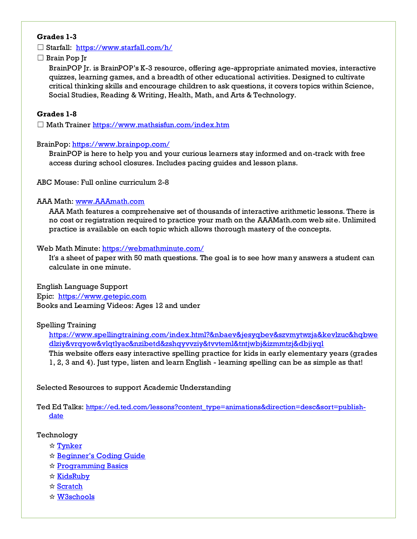#### **Grades 1-3**

□ Starfall: <https://www.starfall.com/h/>

☐ Brain Pop Jr

BrainPOP Jr. is BrainPOP's K-3 resource, offering age-appropriate animated movies, interactive quizzes, learning games, and a breadth of other educational activities. Designed to cultivate critical thinking skills and encourage children to ask questions, it covers topics within Science, Social Studies, Reading & Writing, Health, Math, and Arts & Technology.

#### **Grades 1-8**

☐ Math Traine[r https://www.mathsisfun.com/index.htm](https://www.mathsisfun.com/index.htm)

#### BrainPop:<https://www.brainpop.com/>

BrainPOP is here to help you and your curious learners stay informed and on-track with free access during school closures. Includes pacing guides and lesson plans.

ABC Mouse: Full online curriculum 2-8

#### AAA Math: [www.AAAmath.com](http://www.aaamath.com/)

AAA Math features a comprehensive set of thousands of interactive arithmetic lessons. There is no cost or registration required to practice your math on the AAAMath.com web site. Unlimited practice is available on each topic which allows thorough mastery of the concepts.

#### Web Math Minute:<https://webmathminute.com/>

It's a sheet of paper with 50 math questions. The goal is to see how many answers a student can calculate in one minute.

English Language Support Epic: https://www.getepic.com Books and Learning Videos: Ages 12 and under

#### Spelling Training

[https://www.spellingtraining.com/index.html?&nbaev&jesyqbev&szvmytwzja&kevlzuc&hqbwe](https://www.spellingtraining.com/index.html?&nbaev&jesyqbev&szvmytwzja&kevlzuc&hqbwedlziy&vrqyow&vlqtlyac&nzibetd&zshqyvvziy&tvvteml&tntjwbj&izmmtzj&dbjiyql) [dlziy&vrqyow&vlqtlyac&nzibetd&zshqyvvziy&tvvteml&tntjwbj&izmmtzj&dbjiyql](https://www.spellingtraining.com/index.html?&nbaev&jesyqbev&szvmytwzja&kevlzuc&hqbwedlziy&vrqyow&vlqtlyac&nzibetd&zshqyvvziy&tvvteml&tntjwbj&izmmtzj&dbjiyql)

This website offers easy interactive spelling practice for kids in early elementary years (grades 1, 2, 3 and 4). Just type, listen and learn English - learning spelling can be as simple as that!

Selected Resources to support Academic Understanding

Ted Ed Talks: [https://ed.ted.com/lessons?content\\_type=animations&direction=desc&sort=publish](https://ed.ted.com/lessons?content_type=animations&direction=desc&sort=publish-date)[date](https://ed.ted.com/lessons?content_type=animations&direction=desc&sort=publish-date)

#### Technology

- ☆ [Tynker](https://www.tynker.com/)
- ☆ [Beginner's Coding Guide](https://www.attinternetservice.com/resources/coding-guide/)
- ☆ [Programming Basics](http://www.programmingbasics.org/en/)
- ☆ [KidsRuby](http://kidsruby.com/)
- ☆ [Scratch](https://scratch.mit.edu/)
- ☆ [W3schools](https://www.w3schools.com/js/)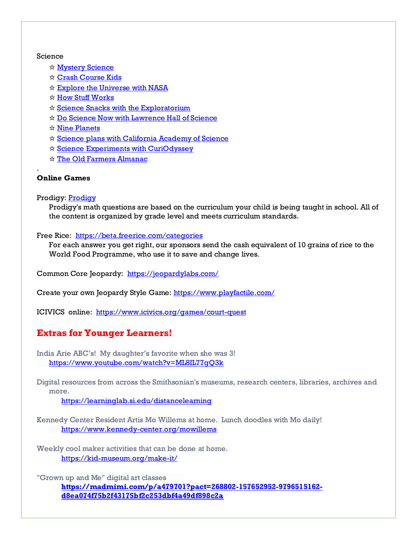#### **Science**

- ☆ [Mystery Science](https://mysteryscience.com/)
- ☆ [Crash Course Kids](https://www.youtube.com/user/crashcoursekids)
- ☆ [Explore the Universe with NASA](https://www.nasa.gov/)
- ☆ [How Stuff Works](https://www.howstuffworks.com/)
- ☆ [Science Snacks with the Exploratorium](https://www.exploratorium.edu/snacks?mc_cid=4c1918c2a4&mc_eid=ab75d369b9)
- ☆ [Do Science Now with Lawrence Hall of Science](https://www.lawrencehallofscience.org/do_science_now)
- ☆ [Nine Planets](https://nineplanets.org/)
- ☆ [Science plans with California Academy of Science](https://www.calacademy.org/educators/lesson-plans)
- ☆ [Science Experiments with CuriOdyssey](https://curiodyssey.org/activities/science-experiments-for-kids)
- ☆ [The Old Farmers Almanac](https://www.almanac.com/kids)

#### **Online Games**

.

#### Prodigy: [Prodigy](https://www.prodigygame.com/)

Prodigy's math questions are based on the curriculum your child is being taught in school. All of the content is organized by grade level and meets curriculum standards.

#### Free Rice: <https://beta.freerice.com/categories>

For each answer you get right, our sponsors send the cash equivalent of 10 grains of rice to the World Food Programme, who use it to save and change lives.

Common Core Jeopardy: https://jeopardylabs.com/

Create your own Jeopardy Style Game[: https://www.playfactile.com/](https://www.playfactile.com/)

ICIVICS online:<https://www.icivics.org/games/court-quest>

### **Extras for Younger Learners!**

India Arie ABC's! My daughter's favorite when she was 3! <https://www.youtube.com/watch?v=ML8IL77gQ3k>

Digital resources from across the Smithsonian's museums, research centers, libraries, archives and more.

<https://learninglab.si.edu/distancelearning>

Kennedy Center Resident Artis Mo Willems at home. Lunch doodles with Mo daily! <https://www.kennedy-center.org/mowillems>

Weekly cool maker activities that can be done at home. <https://kid-museum.org/make-it/>

"Grown up and Me" digital art classes **[https://madmimi.com/p/a479701?pact=268802-157652952-9796515162](https://madmimi.com/p/a479701?pact=268802-157652952-9796515162-d8ea074f75b2f43175bf2c253dbf4a49df898c2a) [d8ea074f75b2f43175bf2c253dbf4a49df898c2a](https://madmimi.com/p/a479701?pact=268802-157652952-9796515162-d8ea074f75b2f43175bf2c253dbf4a49df898c2a)**